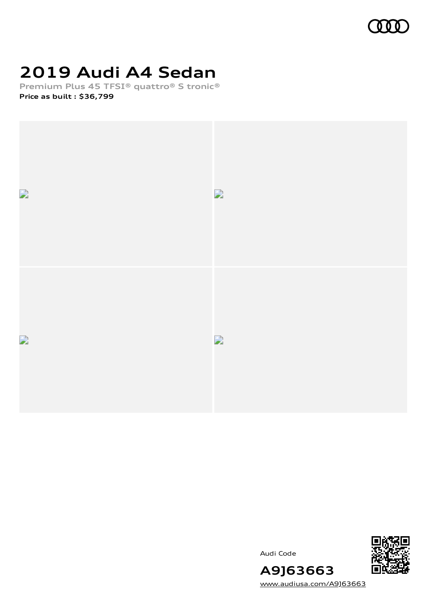

# **2019 Audi A4 Sedan**

**Premium Plus 45 TFSI® quattro® S tronic® Price as built [:](#page-8-0) \$36,799**







[www.audiusa.com/A9J63663](https://www.audiusa.com/A9J63663)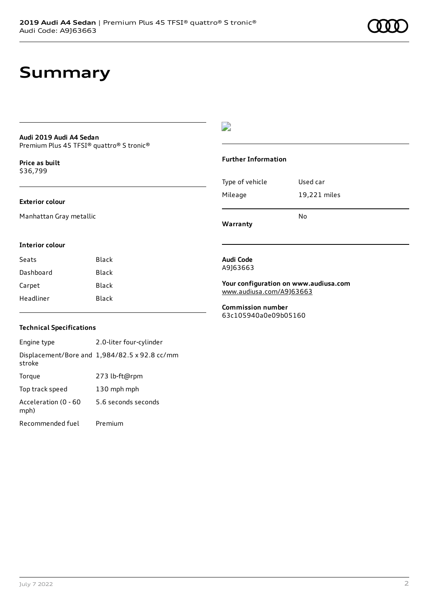### **Summary**

#### **Audi 2019 Audi A4 Sedan** Premium Plus 45 TFSI® quattro® S tronic®

**Price as buil[t](#page-8-0)** \$36,799

#### **Exterior colour**

Manhattan Gray metallic

### D

#### **Further Information**

| Type of vehicle | Used car     |
|-----------------|--------------|
| Mileage         | 19,221 miles |
|                 | No           |

**Warranty**

#### **Interior colour**

| Seats     | Black |
|-----------|-------|
| Dashboard | Black |
| Carpet    | Black |
| Headliner | Black |

#### **Technical Specifications**

Engine type 2.0-liter four-cylinder Displacement/Bore and 1,984/82.5 x 92.8 cc/mm stroke Torque 273 lb-ft@rpm Top track speed 130 mph mph Acceleration (0 - 60 mph) 5.6 seconds seconds Recommended fuel Premium

#### **Audi Code** A9J63663

**Your configuration on www.audiusa.com** [www.audiusa.com/A9J63663](https://www.audiusa.com/A9J63663)

**Commission number** 63c105940a0e09b05160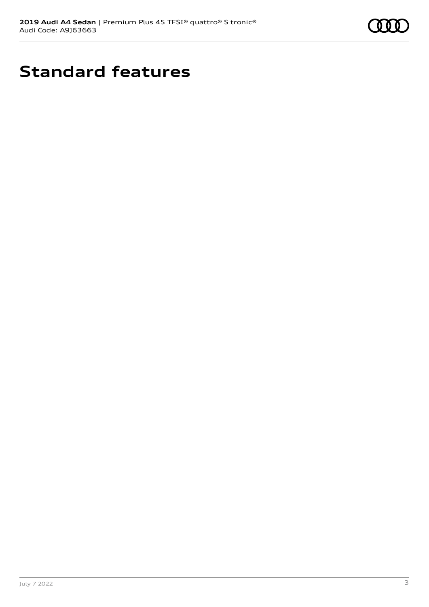

# **Standard features**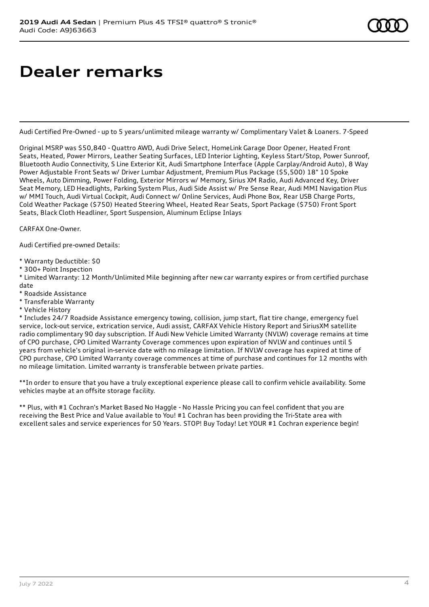# **Dealer remarks**

Audi Certified Pre-Owned - up to 5 years/unlimited mileage warranty w/ Complimentary Valet & Loaners. 7-Speed

Original MSRP was \$50,840 - Quattro AWD, Audi Drive Select, HomeLink Garage Door Opener, Heated Front Seats, Heated, Power Mirrors, Leather Seating Surfaces, LED Interior Lighting, Keyless Start/Stop, Power Sunroof, Bluetooth Audio Connectivity, S Line Exterior Kit, Audi Smartphone Interface (Apple Carplay/Android Auto), 8 Way Power Adjustable Front Seats w/ Driver Lumbar Adjustment, Premium Plus Package (\$5,500) 18" 10 Spoke Wheels, Auto Dimming, Power Folding, Exterior Mirrors w/ Memory, Sirius XM Radio, Audi Advanced Key, Driver Seat Memory, LED Headlights, Parking System Plus, Audi Side Assist w/ Pre Sense Rear, Audi MMI Navigation Plus w/ MMI Touch, Audi Virtual Cockpit, Audi Connect w/ Online Services, Audi Phone Box, Rear USB Charge Ports, Cold Weather Package (\$750) Heated Steering Wheel, Heated Rear Seats, Sport Package (\$750) Front Sport Seats, Black Cloth Headliner, Sport Suspension, Aluminum Eclipse Inlays

CARFAX One-Owner.

Audi Certified pre-owned Details:

- \* Warranty Deductible: \$0
- \* 300+ Point Inspection

\* Limited Warranty: 12 Month/Unlimited Mile beginning after new car warranty expires or from certified purchase date

- \* Roadside Assistance
- \* Transferable Warranty
- \* Vehicle History

\* Includes 24/7 Roadside Assistance emergency towing, collision, jump start, flat tire change, emergency fuel service, lock-out service, extrication service, Audi assist, CARFAX Vehicle History Report and SiriusXM satellite radio complimentary 90 day subscription. If Audi New Vehicle Limited Warranty (NVLW) coverage remains at time of CPO purchase, CPO Limited Warranty Coverage commences upon expiration of NVLW and continues until 5 years from vehicle's original in-service date with no mileage limitation. If NVLW coverage has expired at time of CPO purchase, CPO Limited Warranty coverage commences at time of purchase and continues for 12 months with no mileage limitation. Limited warranty is transferable between private parties.

\*\*In order to ensure that you have a truly exceptional experience please call to confirm vehicle availability. Some vehicles maybe at an offsite storage facility.

\*\* Plus, with #1 Cochran's Market Based No Haggle - No Hassle Pricing you can feel confident that you are receiving the Best Price and Value available to You! #1 Cochran has been providing the Tri-State area with excellent sales and service experiences for 50 Years. STOP! Buy Today! Let YOUR #1 Cochran experience begin!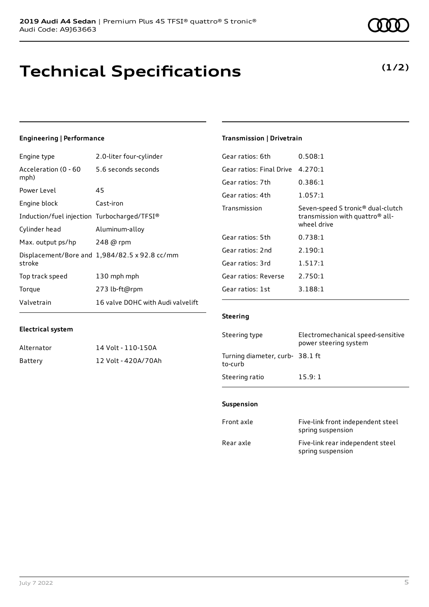### **Technical Specifications**

July 7 2022 5

### **Engineering | Performance**

**Electrical system**

Engine type 2.0-liter four-cylinder

Alternator 14 Volt - 110-150A Battery 12 Volt - 420A/70Ah

| Acceleration (0 - 60<br>mph)                | 5.6 seconds seconds                           |
|---------------------------------------------|-----------------------------------------------|
| Power Level                                 | 45                                            |
| Engine block                                | Cast-iron                                     |
| Induction/fuel injection Turbocharged/TFSI® |                                               |
| Cylinder head                               | Aluminum-alloy                                |
| Max. output ps/hp                           | 248 @ rpm                                     |
| stroke                                      | Displacement/Bore and 1,984/82.5 x 92.8 cc/mm |
| Top track speed                             | 130 mph mph                                   |
| Torque                                      | 273 lb-ft@rpm                                 |
| Valvetrain                                  | 16 valve DOHC with Audi valvelift             |

#### **Transmission | Drivetrain**

| Gear ratios: 6th         | 0.508:1                                                                                                     |
|--------------------------|-------------------------------------------------------------------------------------------------------------|
| Gear ratios: Final Drive | 4.270:1                                                                                                     |
| Gear ratios: 7th         | 0.386:1                                                                                                     |
| Gear ratios: 4th         | 1.057:1                                                                                                     |
| Transmission             | Seven-speed S tronic <sup>®</sup> dual-clutch<br>transmission with quattro <sup>®</sup> all-<br>wheel drive |
| Gear ratios: 5th         | 0.738:1                                                                                                     |
| Gear ratios: 2nd         | 2.190:1                                                                                                     |
| Gear ratios: 3rd         | 1.517:1                                                                                                     |
| Gear ratios: Reverse     | 2.750:1                                                                                                     |
| Gear ratios: 1st         | 3.188:1                                                                                                     |

#### **Steering**

| Steering type                             | Electromechanical speed-sensitive<br>power steering system |
|-------------------------------------------|------------------------------------------------------------|
| Turning diameter, curb-38.1 ft<br>to-curb |                                                            |
| Steering ratio                            | 15.9:1                                                     |

#### **Suspension**

| Front axle | Five-link front independent steel<br>spring suspension |
|------------|--------------------------------------------------------|
| Rear axle  | Five-link rear independent steel<br>spring suspension  |

### **(1/2)**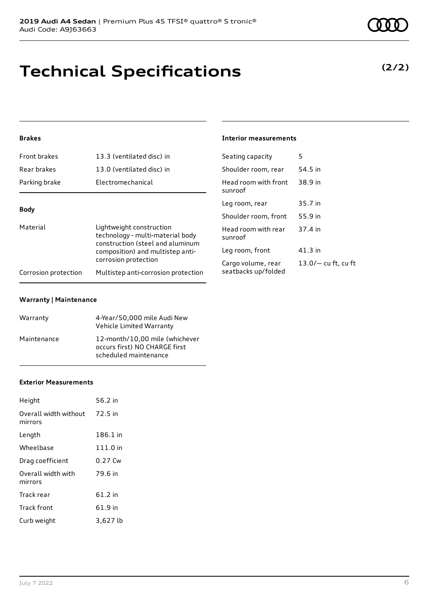# **Technical Specifications**

### **Brakes**

| Front brakes         | 13.3 (ventilated disc) in                                                                        | Seating capacity                          | 5                     |
|----------------------|--------------------------------------------------------------------------------------------------|-------------------------------------------|-----------------------|
| Rear brakes          | 13.0 (ventilated disc) in                                                                        | Shoulder room, rear                       | 54.5 in               |
| Parking brake        | Electromechanical                                                                                | Head room with front<br>sunroof           | 38.9 in               |
|                      |                                                                                                  | Leg room, rear                            | 35.7 in               |
| <b>Body</b>          |                                                                                                  | Shoulder room, front                      | 55.9 in               |
| Material             | Lightweight construction<br>technology - multi-material body<br>construction (steel and aluminum | Head room with rear<br>sunroof            | 37.4 in               |
|                      | composition) and multistep anti-<br>corrosion protection                                         | Leg room, front                           | $41.3$ in             |
|                      |                                                                                                  | Cargo volume, rear<br>seatbacks up/folded | $13.0/-$ cu ft, cu ft |
| Corrosion protection | Multistep anti-corrosion protection                                                              |                                           |                       |

**Interior measurements**

### **Warranty | Maintenance**

| Warranty    | 4-Year/50,000 mile Audi New<br>Vehicle Limited Warranty                                  |
|-------------|------------------------------------------------------------------------------------------|
| Maintenance | 12-month/10,00 mile (whichever<br>occurs first) NO CHARGE first<br>scheduled maintenance |

#### **Exterior Measurements**

| Height                           | 56.2 in   |
|----------------------------------|-----------|
| Overall width without<br>mirrors | 72.5 in   |
| Length                           | 186.1 in  |
| Wheelbase                        | 111.0 in  |
| Drag coefficient                 | 0.27 Cw   |
| Overall width with<br>mirrors    | 79.6 in   |
| Track rear                       | $61.2$ in |
| Track front                      | 61.9 in   |
| Curb weight                      | 3,627 lb  |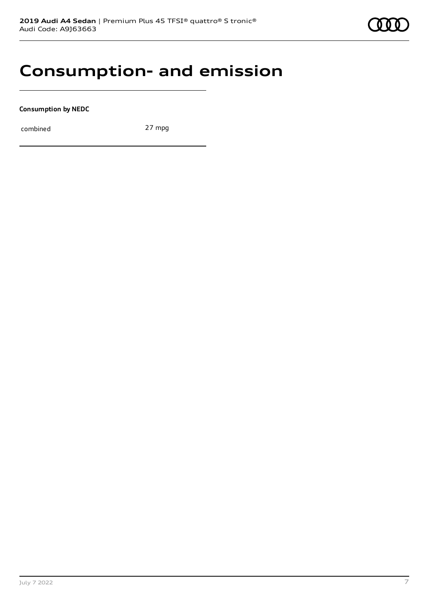### **Consumption- and emission**

**Consumption by NEDC**

combined 27 mpg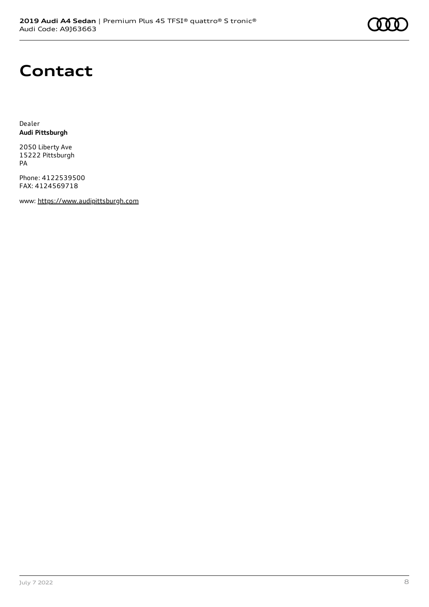# **Contact**

Dealer **Audi Pittsburgh**

2050 Liberty Ave 15222 Pittsburgh PA

Phone: 4122539500 FAX: 4124569718

www: [https://www.audipittsburgh.com](https://www.audipittsburgh.com/)